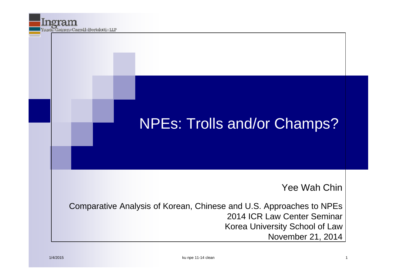### NPEs: Trolls and/or Champs?

#### Yee Wah Chin

Comparative Analysis of Korean, Chinese and U.S. Approaches to NPEs 2014 ICR Law Center Seminar Korea University School of Law November 21, 2014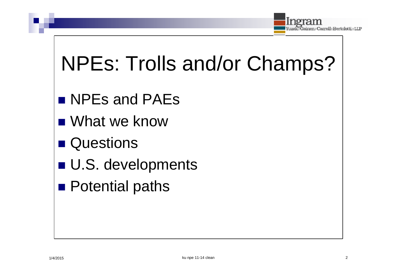

# NPEs: Trolls and/or Champs?

- **NPEs and PAEs**
- What we know
- **Questions**
- U.S. developments
- **Potential paths**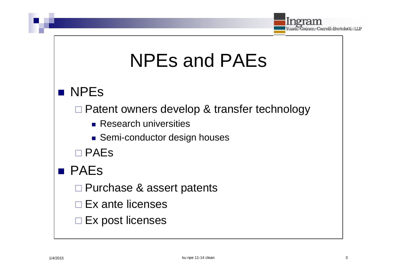

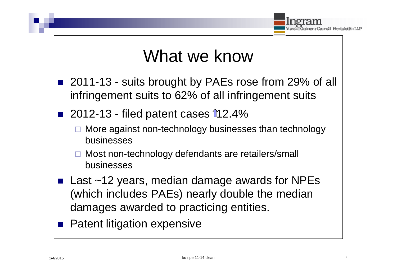

### What we know

- 2011-13 suits brought by PAEs rose from 29% of all infringement suits to 62% of all infringement suits
- 2012-13 filed patent cases  $112.4\%$ 
	- More against non-technology businesses than technology businesses
	- Most non-technology defendants are retailers/small businesses
- Last  $~12$  years, median damage awards for NPEs (which includes PAEs) nearly double the median damages awarded to practicing entities.
- **Patent litigation expensive**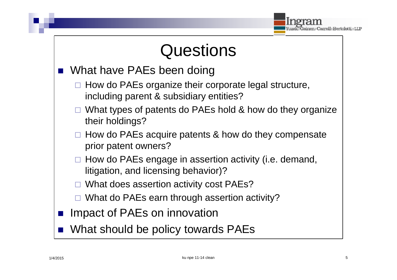### **Questions**

- What have PAEs been doing
	- $\Box$  How do PAEs organize their corporate legal structure, including parent & subsidiary entities?
	- $\Box$  What types of patents do PAEs hold & how do they organize their holdings?
	- How do PAEs acquire patents & how do they compensate prior patent owners?
	- $\Box$  How do PAEs engage in assertion activity (i.e. demand, litigation, and licensing behavior)?
	- What does assertion activity cost PAEs?
	- What do PAEs earn through assertion activity?
- **If Impact of PAEs on innovation** 
	- What should be policy towards PAEs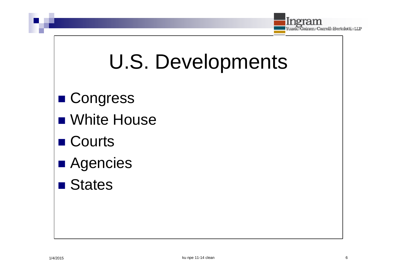

# U.S. Developments

- Congress
- **NH** White House
- Courts
- **Agencies**
- **States**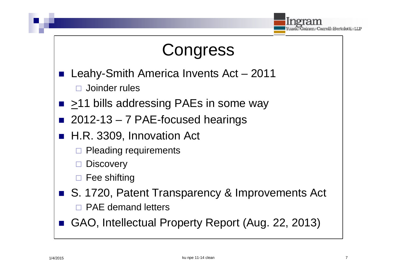

## **Congress**

- Leahy-Smith America Invents Act 2011 Joinder rules
- $\blacksquare$  > 11 bills addressing PAEs in some way
- $\blacksquare$  2012-13 7 PAE-focused hearings
- H.R. 3309, Innovation Act
	- Pleading requirements
	- **Discovery**
	- Fee shifting
- S. 1720, Patent Transparency & Improvements Act
	- $\Box$  PAF demand letters
	- GAO, Intellectual Property Report (Aug. 22, 2013)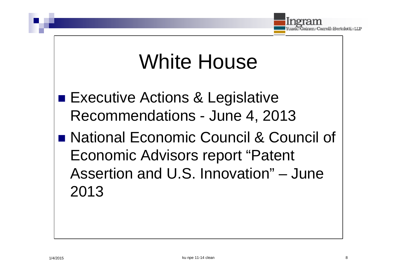

## White House

- **Executive Actions & Legislative** Recommendations - June 4, 2013
- National Economic Council & Council of Economic Advisors report "Patent Assertion and U.S. Innovation" – June 2013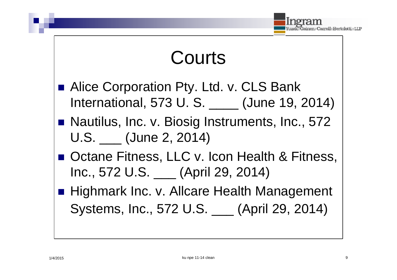

## Courts

- Alice Corporation Pty. Ltd. v. CLS Bank International, 573 U. S. \_\_\_\_ (June 19, 2014)
- Nautilus, Inc. v. Biosig Instruments, Inc., 572 U.S. (June 2, 2014)
- Octane Fitness, LLC v. Icon Health & Fitness, Inc., 572 U.S. \_\_\_ (April 29, 2014)
- Highmark Inc. v. Allcare Health Management Systems, Inc., 572 U.S. \_\_\_ (April 29, 2014)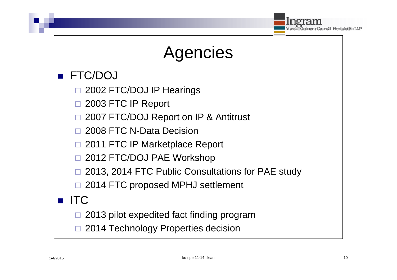

## Agencies

#### FTC/DOJ

- 2002 FTC/DOJ IP Hearings
- 2003 FTC IP Report
- 2007 FTC/DOJ Report on IP & Antitrust
- 2008 FTC N-Data Decision
- □ 2011 FTC IP Marketplace Report
- 2012 FTC/DOJ PAE Workshop
- 2013, 2014 FTC Public Consultations for PAE study
- □ 2014 FTC proposed MPHJ settlement

#### **ITC**

- 2013 pilot expedited fact finding program
- 2014 Technology Properties decision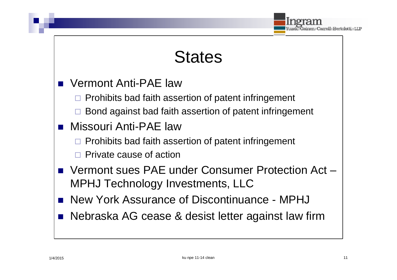

#### **States**

- Vermont Anti-PAE law
	- $\Box$  Prohibits bad faith assertion of patent infringement
	- Bond against bad faith assertion of patent infringement
- Missouri Anti-PAE law
	- Prohibits bad faith assertion of patent infringement
	- Private cause of action
- Vermont sues PAE under Consumer Protection Act MPHJ Technology Investments, LLC
- New York Assurance of Discontinuance MPHJ
- Nebraska AG cease & desist letter against law firm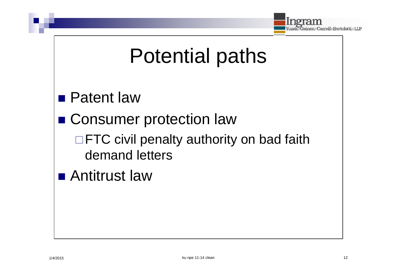

# Potential paths

**Patent law** 

■ Consumer protection law

 $\Box$  FTC civil penalty authority on bad faith demand letters

■ Antitrust law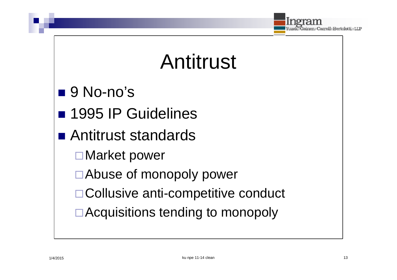

# Antitrust

- $\blacksquare$  9 No-no's
- **1995 IP Guidelines**
- Antitrust standards
	- Market power
	- □ Abuse of monopoly power
	- □ Collusive anti-competitive conduct
	- □ Acquisitions tending to monopoly